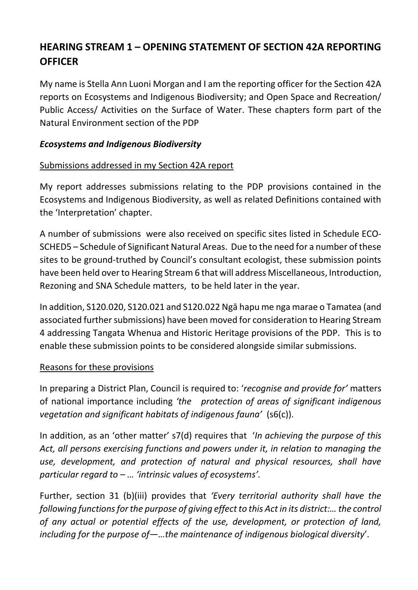# **HEARING STREAM 1 – OPENING STATEMENT OF SECTION 42A REPORTING OFFICER**

My name is Stella Ann Luoni Morgan and I am the reporting officer for the Section 42A reports on Ecosystems and Indigenous Biodiversity; and Open Space and Recreation/ Public Access/ Activities on the Surface of Water. These chapters form part of the Natural Environment section of the PDP

## *Ecosystems and Indigenous Biodiversity*

## Submissions addressed in my Section 42A report

My report addresses submissions relating to the PDP provisions contained in the Ecosystems and Indigenous Biodiversity, as well as related Definitions contained with the 'Interpretation' chapter.

A number of submissions were also received on specific sites listed in Schedule ECO-SCHED5 – Schedule of Significant Natural Areas. Due to the need for a number of these sites to be ground-truthed by Council's consultant ecologist, these submission points have been held over to Hearing Stream 6 that will address Miscellaneous, Introduction, Rezoning and SNA Schedule matters, to be held later in the year.

In addition, S120.020, S120.021 and S120.022 Ngā hapu me nga marae o Tamatea (and associated further submissions) have been moved for consideration to Hearing Stream 4 addressing Tangata Whenua and Historic Heritage provisions of the PDP. This is to enable these submission points to be considered alongside similar submissions.

# Reasons for these provisions

In preparing a District Plan, Council is required to: '*recognise and provide for'* matters of national importance including *'the protection of areas of significant indigenous vegetation and significant habitats of indigenous fauna'* (s6(c)).

In addition, as an 'other matter' s7(d) requires that '*In achieving the purpose of this Act, all persons exercising functions and powers under it, in relation to managing the use, development, and protection of natural and physical resources, shall have particular regard to – … 'intrinsic values of ecosystems'.*

Further, section 31 (b)(iii) provides that *'Every territorial authority shall have the following functions for the purpose of giving effect to this Act in its district:… the control of any actual or potential effects of the use, development, or protection of land, including for the purpose of—…the maintenance of indigenous biological diversity*'.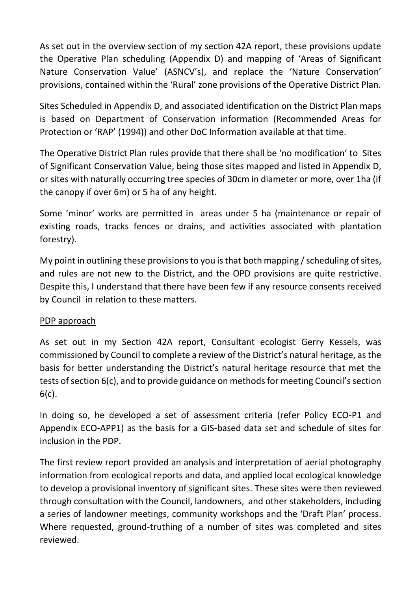As set out in the overview section of my section 42A report, these provisions update the Operative Plan scheduling (Appendix D) and mapping of 'Areas of Significant Nature Conservation Value' (ASNCV's), and replace the 'Nature Conservation' provisions, contained within the 'Rural' zone provisions of the Operative District Plan.

Sites Scheduled in Appendix D, and associated identification on the District Plan maps is based on Department of Conservation information (Recommended Areas for Protection or 'RAP' (1994)) and other DoC Information available at that time.

The Operative District Plan rules provide that there shall be 'no modification' to Sites of Significant Conservation Value, being those sites mapped and listed in Appendix D, or sites with naturally occurring tree species of 30cm in diameter or more, over 1ha (if the canopy if over 6m) or 5 ha of any height.

Some 'minor' works are permitted in areas under 5 ha (maintenance or repair of existing roads, tracks fences or drains, and activities associated with plantation forestry).

My point in outlining these provisions to you is that both mapping / scheduling of sites, and rules are not new to the District, and the OPD provisions are quite restrictive. Despite this, I understand that there have been few if any resource consents received by Council in relation to these matters.

### PDP approach

As set out in my Section 42A report, Consultant ecologist Gerry Kessels, was commissioned by Council to complete a review of the District's natural heritage, as the basis for better understanding the District's natural heritage resource that met the tests of section 6(c), and to provide guidance on methods for meeting Council's section 6(c).

In doing so, he developed a set of assessment criteria (refer Policy ECO-P1 and Appendix ECO-APP1) as the basis for a GIS-based data set and schedule of sites for inclusion in the PDP.

The first review report provided an analysis and interpretation of aerial photography information from ecological reports and data, and applied local ecological knowledge to develop a provisional inventory of significant sites. These sites were then reviewed through consultation with the Council, landowners, and other stakeholders, including a series of landowner meetings, community workshops and the 'Draft Plan' process. Where requested, ground-truthing of a number of sites was completed and sites reviewed.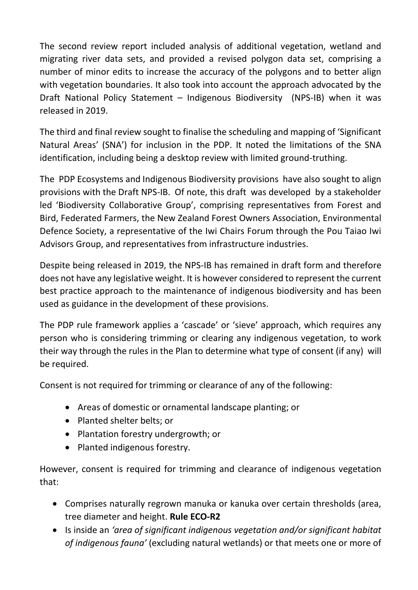The second review report included analysis of additional vegetation, wetland and migrating river data sets, and provided a revised polygon data set, comprising a number of minor edits to increase the accuracy of the polygons and to better align with vegetation boundaries. It also took into account the approach advocated by the Draft National Policy Statement – Indigenous Biodiversity (NPS-IB) when it was released in 2019.

The third and final review sought to finalise the scheduling and mapping of 'Significant Natural Areas' (SNA') for inclusion in the PDP. It noted the limitations of the SNA identification, including being a desktop review with limited ground-truthing.

The PDP Ecosystems and Indigenous Biodiversity provisions have also sought to align provisions with the Draft NPS-IB. Of note, this draft was developed by a stakeholder led 'Biodiversity Collaborative Group', comprising representatives from Forest and Bird, Federated Farmers, the New Zealand Forest Owners Association, Environmental Defence Society, a representative of the Iwi Chairs Forum through the Pou Taiao Iwi Advisors Group, and representatives from infrastructure industries.

Despite being released in 2019, the NPS-IB has remained in draft form and therefore does not have any legislative weight. It is however considered to represent the current best practice approach to the maintenance of indigenous biodiversity and has been used as guidance in the development of these provisions.

The PDP rule framework applies a 'cascade' or 'sieve' approach, which requires any person who is considering trimming or clearing any indigenous vegetation, to work their way through the rules in the Plan to determine what type of consent (if any) will be required.

Consent is not required for trimming or clearance of any of the following:

- Areas of domestic or ornamental landscape planting; or
- Planted shelter belts; or
- Plantation forestry undergrowth: or
- Planted indigenous forestry.

However, consent is required for trimming and clearance of indigenous vegetation that:

- Comprises naturally regrown manuka or kanuka over certain thresholds (area, tree diameter and height. **Rule ECO-R2**
- Is inside an *'area of significant indigenous vegetation and/or significant habitat of indigenous fauna'* (excluding natural wetlands) or that meets one or more of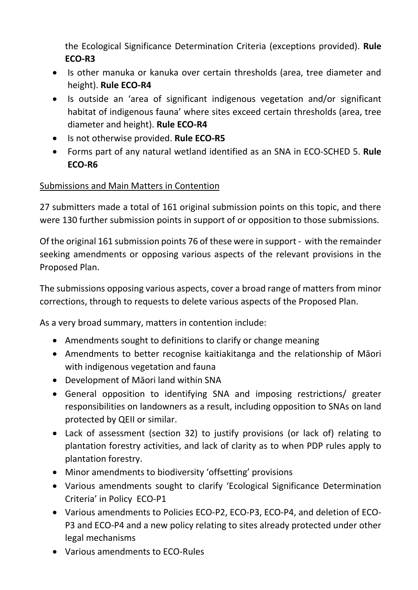the Ecological Significance Determination Criteria (exceptions provided). **Rule ECO-R3**

- Is other manuka or kanuka over certain thresholds (area, tree diameter and height). **Rule ECO-R4**
- Is outside an 'area of significant indigenous vegetation and/or significant habitat of indigenous fauna' where sites exceed certain thresholds (area, tree diameter and height). **Rule ECO-R4**
- **•** Is not otherwise provided. **Rule ECO-R5**
- Forms part of any natural wetland identified as an SNA in ECO-SCHED 5. **Rule ECO-R6**

# Submissions and Main Matters in Contention

27 submitters made a total of 161 original submission points on this topic, and there were 130 further submission points in support of or opposition to those submissions.

Of the original 161 submission points 76 of these were in support - with the remainder seeking amendments or opposing various aspects of the relevant provisions in the Proposed Plan.

The submissions opposing various aspects, cover a broad range of matters from minor corrections, through to requests to delete various aspects of the Proposed Plan.

As a very broad summary, matters in contention include:

- Amendments sought to definitions to clarify or change meaning
- Amendments to better recognise kaitiakitanga and the relationship of Māori with indigenous vegetation and fauna
- Development of Māori land within SNA
- General opposition to identifying SNA and imposing restrictions/ greater responsibilities on landowners as a result, including opposition to SNAs on land protected by QEII or similar.
- Lack of assessment (section 32) to justify provisions (or lack of) relating to plantation forestry activities, and lack of clarity as to when PDP rules apply to plantation forestry.
- Minor amendments to biodiversity 'offsetting' provisions
- Various amendments sought to clarify 'Ecological Significance Determination Criteria' in Policy ECO-P1
- Various amendments to Policies ECO-P2, ECO-P3, ECO-P4, and deletion of ECO-P3 and ECO-P4 and a new policy relating to sites already protected under other legal mechanisms
- Various amendments to ECO-Rules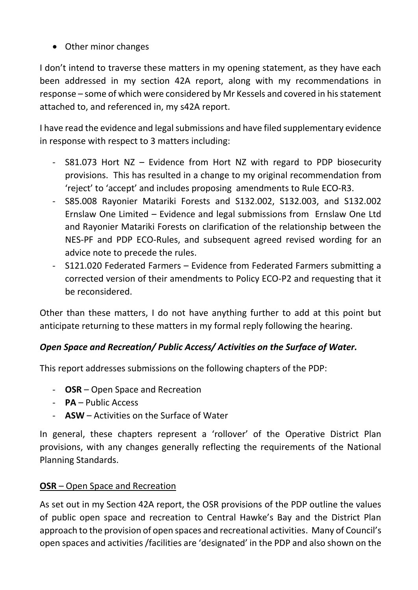• Other minor changes

I don't intend to traverse these matters in my opening statement, as they have each been addressed in my section 42A report, along with my recommendations in response – some of which were considered by Mr Kessels and covered in his statement attached to, and referenced in, my s42A report.

I have read the evidence and legal submissions and have filed supplementary evidence in response with respect to 3 matters including:

- S81.073 Hort NZ Evidence from Hort NZ with regard to PDP biosecurity provisions. This has resulted in a change to my original recommendation from 'reject' to 'accept' and includes proposing amendments to Rule ECO-R3.
- S85.008 Rayonier Matariki Forests and S132.002, S132.003, and S132.002 Ernslaw One Limited – Evidence and legal submissions from Ernslaw One Ltd and Rayonier Matariki Forests on clarification of the relationship between the NES-PF and PDP ECO-Rules, and subsequent agreed revised wording for an advice note to precede the rules.
- S121.020 Federated Farmers Evidence from Federated Farmers submitting a corrected version of their amendments to Policy ECO-P2 and requesting that it be reconsidered.

Other than these matters, I do not have anything further to add at this point but anticipate returning to these matters in my formal reply following the hearing.

# *Open Space and Recreation/ Public Access/ Activities on the Surface of Water.*

This report addresses submissions on the following chapters of the PDP:

- **OSR** Open Space and Recreation
- **PA** Public Access
- **ASW**  Activities on the Surface of Water

In general, these chapters represent a 'rollover' of the Operative District Plan provisions, with any changes generally reflecting the requirements of the National Planning Standards.

### **OSR** – Open Space and Recreation

As set out in my Section 42A report, the OSR provisions of the PDP outline the values of public open space and recreation to Central Hawke's Bay and the District Plan approach to the provision of open spaces and recreational activities. Many of Council's open spaces and activities /facilities are 'designated' in the PDP and also shown on the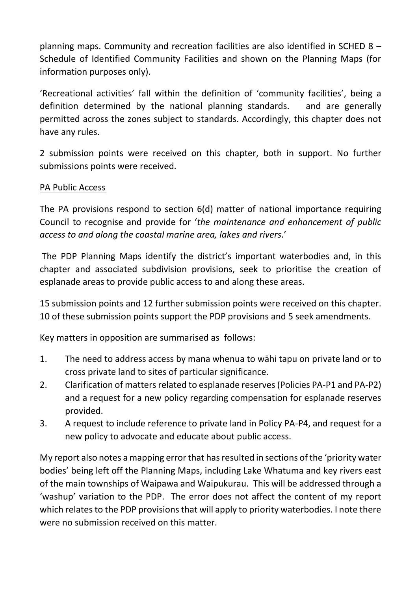planning maps. Community and recreation facilities are also identified in SCHED 8 – Schedule of Identified Community Facilities and shown on the Planning Maps (for information purposes only).

'Recreational activities' fall within the definition of 'community facilities', being a definition determined by the national planning standards. and are generally permitted across the zones subject to standards. Accordingly, this chapter does not have any rules.

2 submission points were received on this chapter, both in support. No further submissions points were received.

### PA Public Access

The PA provisions respond to section 6(d) matter of national importance requiring Council to recognise and provide for '*the maintenance and enhancement of public access to and along the coastal marine area, lakes and rivers*.'

The PDP Planning Maps identify the district's important waterbodies and, in this chapter and associated subdivision provisions, seek to prioritise the creation of esplanade areas to provide public access to and along these areas.

15 submission points and 12 further submission points were received on this chapter. 10 of these submission points support the PDP provisions and 5 seek amendments.

Key matters in opposition are summarised as follows:

- 1. The need to address access by mana whenua to wāhi tapu on private land or to cross private land to sites of particular significance.
- 2. Clarification of matters related to esplanade reserves (Policies PA-P1 and PA-P2) and a request for a new policy regarding compensation for esplanade reserves provided.
- 3. A request to include reference to private land in Policy PA-P4, and request for a new policy to advocate and educate about public access.

My report also notes a mapping error that has resulted in sections of the 'priority water bodies' being left off the Planning Maps, including Lake Whatuma and key rivers east of the main townships of Waipawa and Waipukurau. This will be addressed through a 'washup' variation to the PDP. The error does not affect the content of my report which relates to the PDP provisions that will apply to priority waterbodies. I note there were no submission received on this matter.